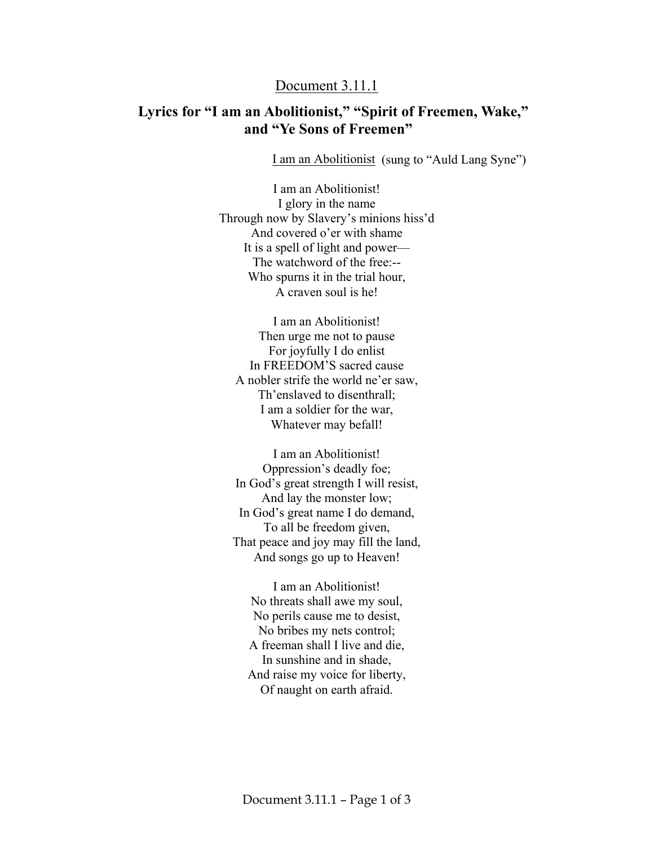## Document 3.11.1

## **Lyrics for "I am an Abolitionist," "Spirit of Freemen, Wake," and "Ye Sons of Freemen"**

I am an Abolitionist (sung to "Auld Lang Syne")

I am an Abolitionist! I glory in the name Through now by Slavery's minions hiss'd And covered o'er with shame It is a spell of light and power— The watchword of the free:-- Who spurns it in the trial hour, A craven soul is he!

I am an Abolitionist! Then urge me not to pause For joyfully I do enlist In FREEDOM'S sacred cause A nobler strife the world ne'er saw, Th'enslaved to disenthrall; I am a soldier for the war, Whatever may befall!

I am an Abolitionist! Oppression's deadly foe; In God's great strength I will resist, And lay the monster low; In God's great name I do demand, To all be freedom given, That peace and joy may fill the land, And songs go up to Heaven!

I am an Abolitionist! No threats shall awe my soul, No perils cause me to desist, No bribes my nets control; A freeman shall I live and die, In sunshine and in shade, And raise my voice for liberty, Of naught on earth afraid.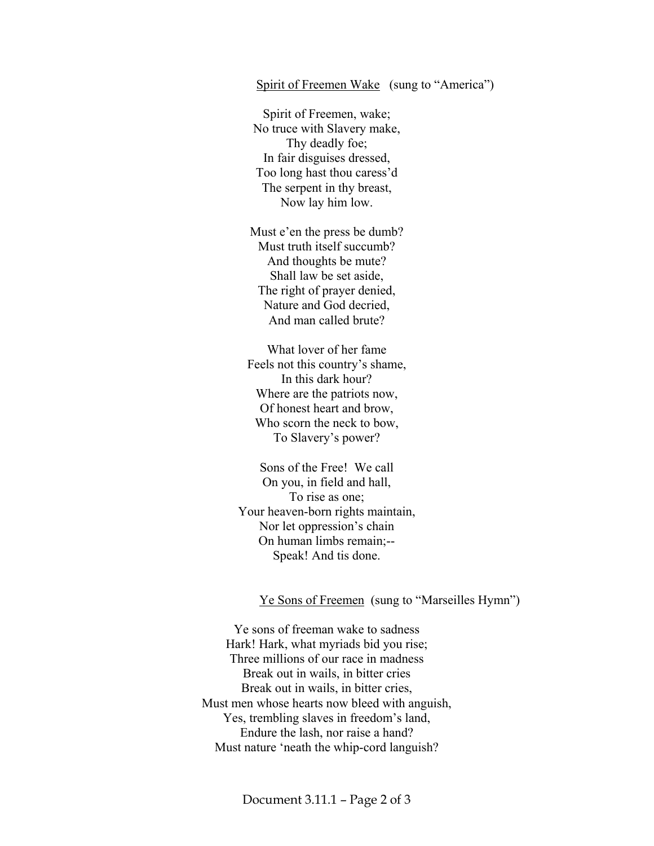## Spirit of Freemen Wake (sung to "America")

Spirit of Freemen, wake; No truce with Slavery make, Thy deadly foe; In fair disguises dressed, Too long hast thou caress'd The serpent in thy breast, Now lay him low.

Must e'en the press be dumb? Must truth itself succumb? And thoughts be mute? Shall law be set aside, The right of prayer denied, Nature and God decried, And man called brute?

What lover of her fame Feels not this country's shame, In this dark hour? Where are the patriots now, Of honest heart and brow, Who scorn the neck to bow, To Slavery's power?

Sons of the Free! We call On you, in field and hall, To rise as one; Your heaven-born rights maintain, Nor let oppression's chain On human limbs remain;-- Speak! And tis done.

## Ye Sons of Freemen (sung to "Marseilles Hymn")

Ye sons of freeman wake to sadness Hark! Hark, what myriads bid you rise; Three millions of our race in madness Break out in wails, in bitter cries Break out in wails, in bitter cries, Must men whose hearts now bleed with anguish, Yes, trembling slaves in freedom's land, Endure the lash, nor raise a hand? Must nature 'neath the whip-cord languish?